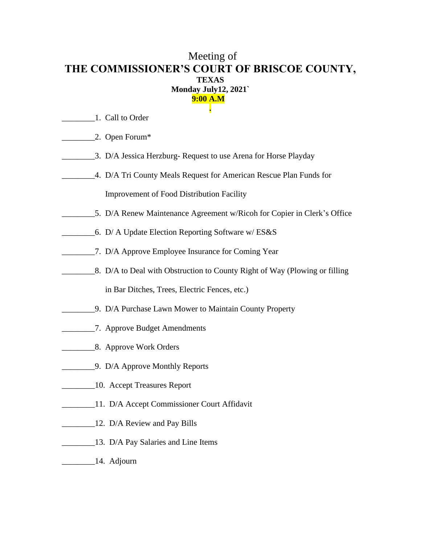## Meeting of **THE COMMISSIONER'S COURT OF BRISCOE COUNTY, TEXAS Monday July12, 2021` 9:00 A.M .**

- 1. Call to Order
- \_\_\_\_\_\_\_\_2. Open Forum\*
- \_\_\_\_\_\_\_\_3. D/A Jessica Herzburg- Request to use Arena for Horse Playday
- \_\_\_\_\_\_\_\_4. D/A Tri County Meals Request for American Rescue Plan Funds for Improvement of Food Distribution Facility
- \_\_\_\_\_\_\_\_5. D/A Renew Maintenance Agreement w/Ricoh for Copier in Clerk's Office
- \_\_\_\_\_\_\_\_6. D/ A Update Election Reporting Software w/ ES&S
- \_\_\_\_\_\_\_\_7. D/A Approve Employee Insurance for Coming Year
- **EXECUTE:** 8. D/A to Deal with Obstruction to County Right of Way (Plowing or filling in Bar Ditches, Trees, Electric Fences, etc.)
- \_\_\_\_\_\_\_\_9. D/A Purchase Lawn Mower to Maintain County Property
- \_\_\_\_\_\_\_\_7. Approve Budget Amendments
- \_\_\_\_\_\_\_\_8. Approve Work Orders
- **\_\_\_\_\_\_\_\_\_\_\_\_\_\_\_9.** D/A Approve Monthly Reports
- **Example 21.** Accept Treasures Report
- \_\_\_\_\_\_\_\_11. D/A Accept Commissioner Court Affidavit
- 12. D/A Review and Pay Bills
- **\_\_\_\_\_\_\_\_\_\_13.** D/A Pay Salaries and Line Items
- \_\_\_\_\_\_\_\_14. Adjourn